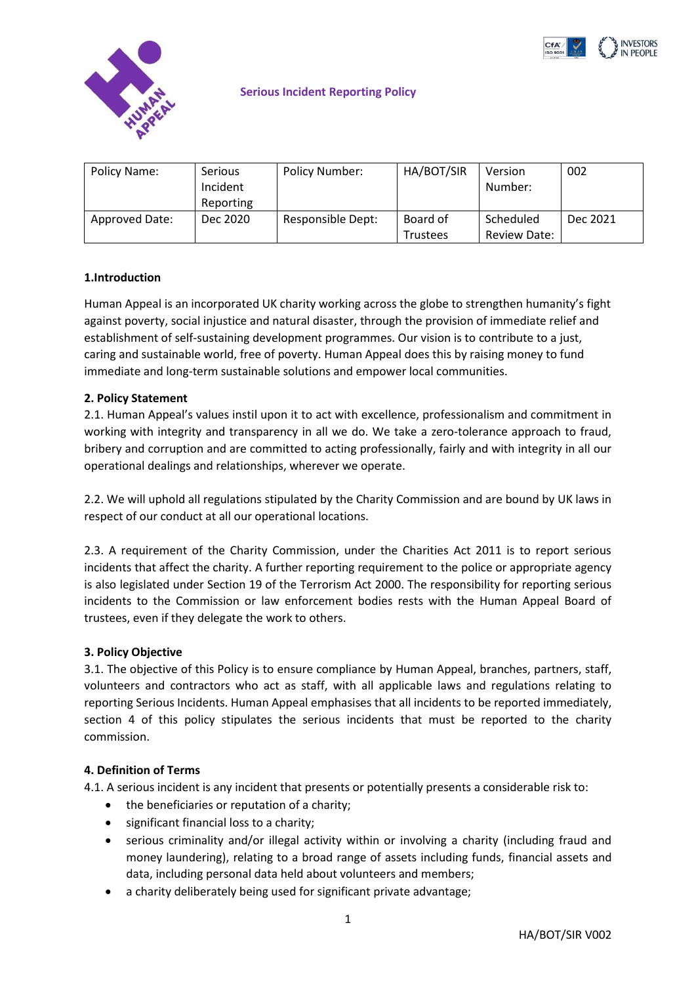



#### **Serious Incident Reporting Policy**

| Policy Name:          | <b>Serious</b> | Policy Number:    | HA/BOT/SIR      | Version             | 002      |
|-----------------------|----------------|-------------------|-----------------|---------------------|----------|
|                       | Incident       |                   |                 | Number:             |          |
|                       | Reporting      |                   |                 |                     |          |
| <b>Approved Date:</b> | Dec 2020       | Responsible Dept: | Board of        | Scheduled           | Dec 2021 |
|                       |                |                   | <b>Trustees</b> | <b>Review Date:</b> |          |

### **1.Introduction**

Human Appeal is an incorporated UK charity working across the globe to strengthen humanity's fight against poverty, social injustice and natural disaster, through the provision of immediate relief and establishment of self-sustaining development programmes. Our vision is to contribute to a just, caring and sustainable world, free of poverty. Human Appeal does this by raising money to fund immediate and long-term sustainable solutions and empower local communities.

#### **2. Policy Statement**

2.1. Human Appeal's values instil upon it to act with excellence, professionalism and commitment in working with integrity and transparency in all we do. We take a zero-tolerance approach to fraud, bribery and corruption and are committed to acting professionally, fairly and with integrity in all our operational dealings and relationships, wherever we operate.

2.2. We will uphold all regulations stipulated by the Charity Commission and are bound by UK laws in respect of our conduct at all our operational locations.

2.3. A requirement of the Charity Commission, under the Charities Act 2011 is to report serious incidents that affect the charity. A further reporting requirement to the police or appropriate agency is also legislated under Section 19 of the Terrorism Act 2000. The responsibility for reporting serious incidents to the Commission or law enforcement bodies rests with the Human Appeal Board of trustees, even if they delegate the work to others.

#### **3. Policy Objective**

3.1. The objective of this Policy is to ensure compliance by Human Appeal, branches, partners, staff, volunteers and contractors who act as staff, with all applicable laws and regulations relating to reporting Serious Incidents. Human Appeal emphasises that all incidents to be reported immediately, section 4 of this policy stipulates the serious incidents that must be reported to the charity commission.

#### **4. Definition of Terms**

4.1. A serious incident is any incident that presents or potentially presents a considerable risk to:

- the beneficiaries or reputation of a charity;
- significant financial loss to a charity;
- serious criminality and/or illegal activity within or involving a charity (including fraud and money laundering), relating to a broad range of assets including funds, financial assets and data, including personal data held about volunteers and members;
- a charity deliberately being used for significant private advantage;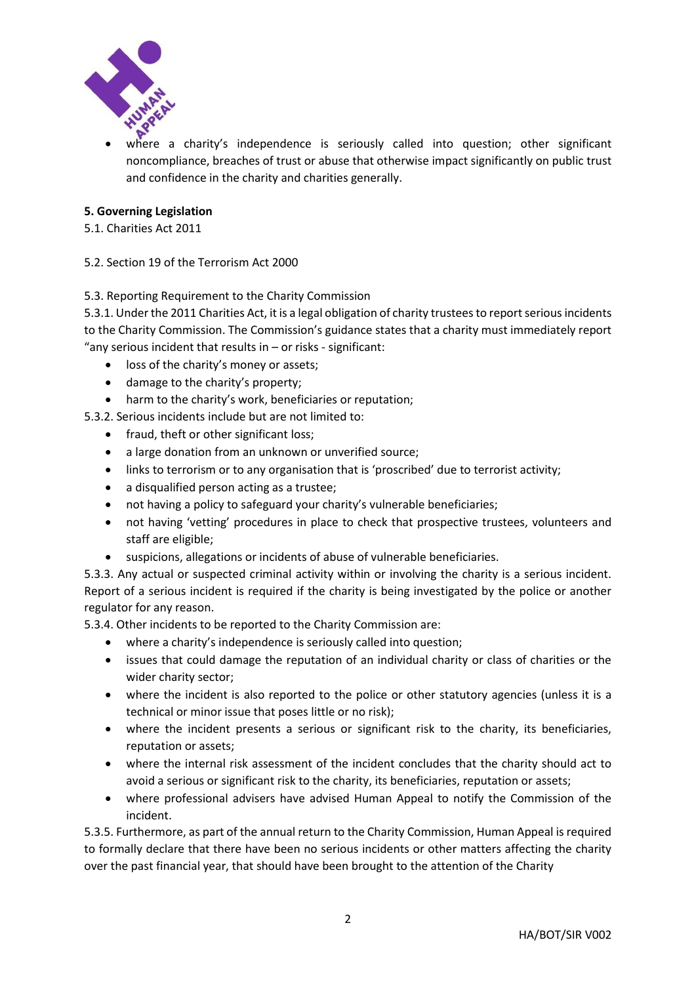

 where a charity's independence is seriously called into question; other significant noncompliance, breaches of trust or abuse that otherwise impact significantly on public trust and confidence in the charity and charities generally.

## **5. Governing Legislation**

5.1. Charities Act 2011

5.2. Section 19 of the Terrorism Act 2000

### 5.3. Reporting Requirement to the Charity Commission

5.3.1. Under the 2011 Charities Act, it is a legal obligation of charity trustees to report serious incidents to the Charity Commission. The Commission's guidance states that a charity must immediately report "any serious incident that results in  $-$  or risks - significant:

- loss of the charity's money or assets;
- damage to the charity's property;
- harm to the charity's work, beneficiaries or reputation;

5.3.2. Serious incidents include but are not limited to:

- fraud, theft or other significant loss;
- a large donation from an unknown or unverified source;
- links to terrorism or to any organisation that is 'proscribed' due to terrorist activity;
- a disqualified person acting as a trustee;
- not having a policy to safeguard your charity's vulnerable beneficiaries;
- not having 'vetting' procedures in place to check that prospective trustees, volunteers and staff are eligible;
- suspicions, allegations or incidents of abuse of vulnerable beneficiaries.

5.3.3. Any actual or suspected criminal activity within or involving the charity is a serious incident. Report of a serious incident is required if the charity is being investigated by the police or another regulator for any reason.

5.3.4. Other incidents to be reported to the Charity Commission are:

- where a charity's independence is seriously called into question;
- issues that could damage the reputation of an individual charity or class of charities or the wider charity sector;
- where the incident is also reported to the police or other statutory agencies (unless it is a technical or minor issue that poses little or no risk);
- where the incident presents a serious or significant risk to the charity, its beneficiaries, reputation or assets;
- where the internal risk assessment of the incident concludes that the charity should act to avoid a serious or significant risk to the charity, its beneficiaries, reputation or assets;
- where professional advisers have advised Human Appeal to notify the Commission of the incident.

5.3.5. Furthermore, as part of the annual return to the Charity Commission, Human Appeal is required to formally declare that there have been no serious incidents or other matters affecting the charity over the past financial year, that should have been brought to the attention of the Charity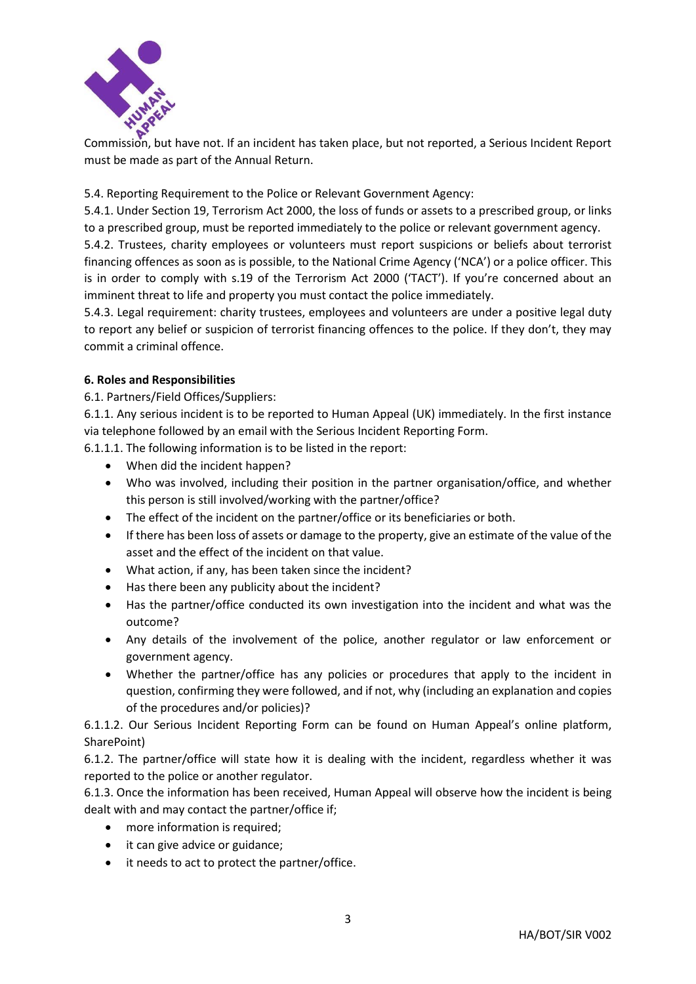

Commission, but have not. If an incident has taken place, but not reported, a Serious Incident Report must be made as part of the Annual Return.

5.4. Reporting Requirement to the Police or Relevant Government Agency:

5.4.1. Under Section 19, Terrorism Act 2000, the loss of funds or assets to a prescribed group, or links to a prescribed group, must be reported immediately to the police or relevant government agency.

5.4.2. Trustees, charity employees or volunteers must report suspicions or beliefs about terrorist financing offences as soon as is possible, to the National Crime Agency ('NCA') or a police officer. This is in order to comply with s.19 of the Terrorism Act 2000 ('TACT'). If you're concerned about an imminent threat to life and property you must contact the police immediately.

5.4.3. Legal requirement: charity trustees, employees and volunteers are under a positive legal duty to report any belief or suspicion of terrorist financing offences to the police. If they don't, they may commit a criminal offence.

# **6. Roles and Responsibilities**

6.1. Partners/Field Offices/Suppliers:

6.1.1. Any serious incident is to be reported to Human Appeal (UK) immediately. In the first instance via telephone followed by an email with the Serious Incident Reporting Form.

6.1.1.1. The following information is to be listed in the report:

- When did the incident happen?
- Who was involved, including their position in the partner organisation/office, and whether this person is still involved/working with the partner/office?
- The effect of the incident on the partner/office or its beneficiaries or both.
- If there has been loss of assets or damage to the property, give an estimate of the value of the asset and the effect of the incident on that value.
- What action, if any, has been taken since the incident?
- Has there been any publicity about the incident?
- Has the partner/office conducted its own investigation into the incident and what was the outcome?
- Any details of the involvement of the police, another regulator or law enforcement or government agency.
- Whether the partner/office has any policies or procedures that apply to the incident in question, confirming they were followed, and if not, why (including an explanation and copies of the procedures and/or policies)?

6.1.1.2. Our Serious Incident Reporting Form can be found on Human Appeal's online platform, SharePoint)

6.1.2. The partner/office will state how it is dealing with the incident, regardless whether it was reported to the police or another regulator.

6.1.3. Once the information has been received, Human Appeal will observe how the incident is being dealt with and may contact the partner/office if;

- more information is required;
- it can give advice or guidance;
- it needs to act to protect the partner/office.